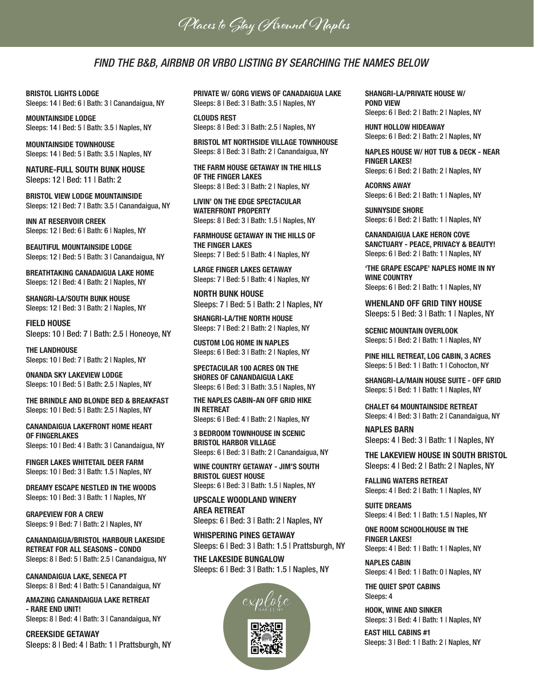**Places to Stay Around Naples**

### FIND THE B&B, AIRBNB OR VRBO LISTING BY SEARCHING THE NAMES BELOW

BRISTOL LIGHTS LODGE Sleeps: 14 | Bed: 6 | Bath: 3 | Canandaigua, NY

MOUNTAINSIDE LODGE Sleeps: 14 | Bed: 5 | Bath: 3.5 | Naples, NY

MOUNTAINSIDE TOWNHOUSE Sleeps: 14 | Bed: 5 | Bath: 3.5 | Naples, NY

NATURE-FULL SOUTH BUNK HOUSE Sleeps: 12 | Bed: 11 | Bath: 2

BRISTOL VIEW LODGE MOUNTAINSIDE Sleeps: 12 | Bed: 7 | Bath: 3.5 | Canandaigua, NY

INN AT RESERVOIR CREEK Sleeps: 12 | Bed: 6 | Bath: 6 | Naples, NY

BEAUTIFUL MOUNTAINSIDE LODGE Sleeps: 12 | Bed: 5 | Bath: 3 | Canandaigua, NY

BREATHTAKING CANADAIGUA LAKE HOME Sleeps: 12 | Bed: 4 | Bath: 2 | Naples, NY

SHANGRI-LA/SOUTH BUNK HOUSE Sleeps: 12 | Bed: 3 | Bath: 2 | Naples, NY

FIELD HOUSE Sleeps: 10 | Bed: 7 | Bath: 2.5 | Honeoye, NY

THE LANDHOUSE Sleeps: 10 | Bed: 7 | Bath: 2 | Naples, NY

ONANDA SKY LAKEVIEW LODGE Sleeps: 10 | Bed: 5 | Bath: 2.5 | Naples, NY

THE BRINDLE AND BLONDE BED & BREAKFAST Sleeps: 10 | Bed: 5 | Bath: 2.5 | Naples, NY

CANANDAIGUA LAKEFRONT HOME HEART OF FINGERLAKES Sleeps: 10 | Bed: 4 | Bath: 3 | Canandaigua, NY

FINGER LAKES WHITETAIL DEER FARM Sleeps: 10 | Bed: 3 | Bath: 1.5 | Naples, NY

DREAMY ESCAPE NESTLED IN THE WOODS Sleeps: 10 | Bed: 3 | Bath: 1 | Naples, NY

GRAPEVIEW FOR A CREW Sleeps: 9 | Bed: 7 | Bath: 2 | Naples, NY

CANANDAIGUA/BRISTOL HARBOUR LAKESIDE RETREAT FOR ALL SEASONS - CONDO Sleeps: 8 | Bed: 5 | Bath: 2.5 | Canandaigua, NY

CANANDAIGUA LAKE, SENECA PT Sleeps: 8 | Bed: 4 | Bath: 5 | Canandaigua, NY

AMAZING CANANDAIGUA LAKE RETREAT - RARE END UNIT! Sleeps: 8 | Bed: 4 | Bath: 3 | Canandaigua, NY

CREEKSIDE GETAWAY Sleeps: 8 | Bed: 4 | Bath: 1 | Prattsburgh, NY PRIVATE W/ GORG VIEWS OF CANADAIGUA LAKE Sleeps: 8 | Bed: 3 | Bath: 3.5 | Naples, NY

CLOUDS REST Sleeps: 8 | Bed: 3 | Bath: 2.5 | Naples, NY

BRISTOL MT NORTHSIDE VILLAGE TOWNHOUSE Sleeps: 8 | Bed: 3 | Bath: 2 | Canandaigua, NY

THE FARM HOUSE GETAWAY IN THE HILLS OF THE FINGER LAKES Sleeps: 8 | Bed: 3 | Bath: 2 | Naples, NY

LIVIN' ON THE EDGE SPECTACULAR WATERFRONT PROPERTY Sleeps: 8 | Bed: 3 | Bath: 1.5 | Naples, NY

FARMHOUSE GETAWAY IN THE HILLS OF THE FINGER LAKES Sleeps: 7 | Bed: 5 | Bath: 4 | Naples, NY

LARGE FINGER LAKES GETAWAY Sleeps: 7 | Bed: 5 | Bath: 4 | Naples, NY

NORTH BUNK HOUSE Sleeps: 7 | Bed: 5 | Bath: 2 | Naples, NY

SHANGRI-LA/THE NORTH HOUSE Sleeps: 7 | Bed: 2 | Bath: 2 | Naples, NY

CUSTOM LOG HOME IN NAPLES Sleeps: 6 | Bed: 3 | Bath: 2 | Naples, NY

SPECTACULAR 100 ACRES ON THE SHORES OF CANANDAIGUA LAKE Sleeps: 6 | Bed: 3 | Bath: 3.5 | Naples, NY

THE NAPLES CABIN-AN OFF GRID HIKE IN RETREAT Sleeps: 6 | Bed: 4 | Bath: 2 | Naples, NY

3 BEDROOM TOWNHOUSE IN SCENIC

BRISTOL HARBOR VILLAGE Sleeps: 6 | Bed: 3 | Bath: 2 | Canandaigua, NY

WINE COUNTRY GETAWAY - JIM'S SOUTH BRISTOL GUEST HOUSE Sleeps: 6 | Bed: 3 | Bath: 1.5 | Naples, NY

UPSCALE WOODLAND WINERY AREA RETREAT Sleeps: 6 | Bed: 3 | Bath: 2 | Naples, NY

THE LAKESIDE BUNGALOW WHISPERING PINES GETAWAY Sleeps: 6 | Bed: 3 | Bath: 1.5 | Prattsburgh, NY

Sleeps: 6 | Bed: 3 | Bath: 1.5 | Naples, NY



SHANGRI-LA/PRIVATE HOUSE W/ POND VIEW Sleeps: 6 | Bed: 2 | Bath: 2 | Naples, NY

HUNT HOLLOW HIDEAWAY

Sleeps: 6 | Bed: 2 | Bath: 2 | Naples, NY

NAPLES HOUSE W/ HOT TUB & DECK - NEAR FINGER LAKES! Sleeps: 6 | Bed: 2 | Bath: 2 | Naples, NY

ACORNS AWAY Sleeps: 6 | Bed: 2 | Bath: 1 | Naples, NY

SUNNYSIDE SHORE Sleeps: 6 | Bed: 2 | Bath: 1 | Naples, NY

CANANDAIGUA LAKE HERON COVE SANCTUARY - PEACE, PRIVACY & BEAUTY! Sleeps: 6 | Bed: 2 | Bath: 1 | Naples, NY

'THE GRAPE ESCAPE' NAPLES HOME IN NY WINE COUNTRY Sleeps: 6 | Bed: 2 | Bath: 1 | Naples, NY

WHENLAND OFF GRID TINY HOUSE Sleeps: 5 | Bed: 3 | Bath: 1 | Naples, NY

SCENIC MOUNTAIN OVERLOOK Sleeps: 5 | Bed: 2 | Bath: 1 | Naples, NY

PINE HILL RETREAT, LOG CABIN, 3 ACRES Sleeps: 5 | Bed: 1 | Bath: 1 | Cohocton, NY

SHANGRI-LA/MAIN HOUSE SUITE - OFF GRID Sleeps: 5 | Bed: 1 | Bath: 1 | Naples, NY

CHALET 64 MOUNTAINSIDE RETREAT Sleeps: 4 | Bed: 3 | Bath: 2 | Canandaigua, NY

NAPLES BARN Sleeps: 4 | Bed: 3 | Bath: 1 | Naples, NY

THE LAKEVIEW HOUSE IN SOUTH BRISTOL Sleeps: 4 | Bed: 2 | Bath: 2 | Naples, NY

FALLING WATERS RETREAT Sleeps: 4 | Bed: 2 | Bath: 1 | Naples, NY

SUITE DREAMS Sleeps: 4 | Bed: 1 | Bath: 1.5 | Naples, NY

ONE ROOM SCHOOLHOUSE IN THE **FINGER LAKES!** Sleeps: 4 | Bed: 1 | Bath: 1 | Naples, NY

NAPLES CABIN Sleeps: 4 | Bed: 1 | Bath: 0 | Naples, NY

THE QUIET SPOT CABINS Sleeps: 4

HOOK, WINE AND SINKER Sleeps: 3 | Bed: 4 | Bath: 1 | Naples, NY

EAST HILL CABINS #1 Sleeps: 3 | Bed: 1 | Bath: 2 | Naples, NY